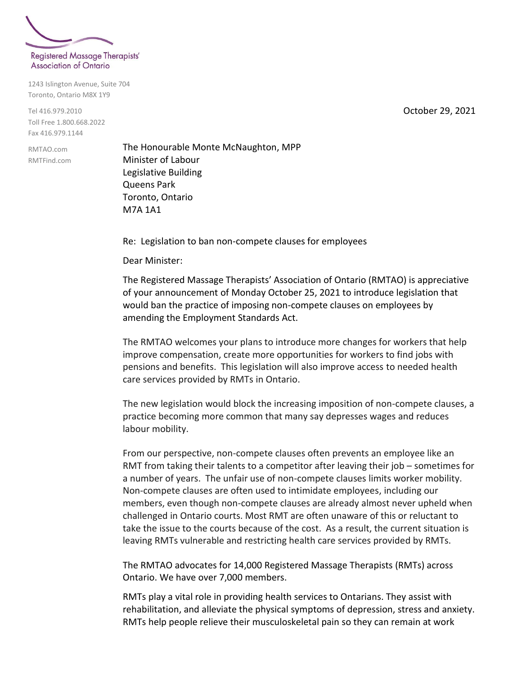

1243 Islington Avenue, Suite 704 Toronto, Ontario M8X 1Y9

Tel 416.979.2010 Toll Free 1.800.668.2022 Fax 416.979.1144

RMTAO.com RMTFind.com The Honourable Monte McNaughton, MPP Minister of Labour Legislative Building Queens Park Toronto, Ontario M7A 1A1

Re: Legislation to ban non-compete clauses for employees

Dear Minister:

The Registered Massage Therapists' Association of Ontario (RMTAO) is appreciative of your announcement of Monday October 25, 2021 to introduce legislation that would ban the practice of imposing non-compete clauses on employees by amending the Employment Standards Act.

The RMTAO welcomes your plans to introduce more changes for workers that help improve compensation, create more opportunities for workers to find jobs with pensions and benefits. This legislation will also improve access to needed health care services provided by RMTs in Ontario.

The new legislation would block the increasing imposition of non-compete clauses, a practice becoming more common that many say depresses wages and reduces labour mobility.

From our perspective, non-compete clauses often prevents an employee like an RMT from taking their talents to a competitor after leaving their job – sometimes for a number of years. The unfair use of non-compete clauses limits worker mobility. Non-compete clauses are often used to intimidate employees, including our members, even though non-compete clauses are already almost never upheld when challenged in Ontario courts. Most RMT are often unaware of this or reluctant to take the issue to the courts because of the cost. As a result, the current situation is leaving RMTs vulnerable and restricting health care services provided by RMTs.

The RMTAO advocates for 14,000 Registered Massage Therapists (RMTs) across Ontario. We have over 7,000 members.

RMTs play a vital role in providing health services to Ontarians. They assist with rehabilitation, and alleviate the physical symptoms of depression, stress and anxiety. RMTs help people relieve their musculoskeletal pain so they can remain at work

October 29, 2021